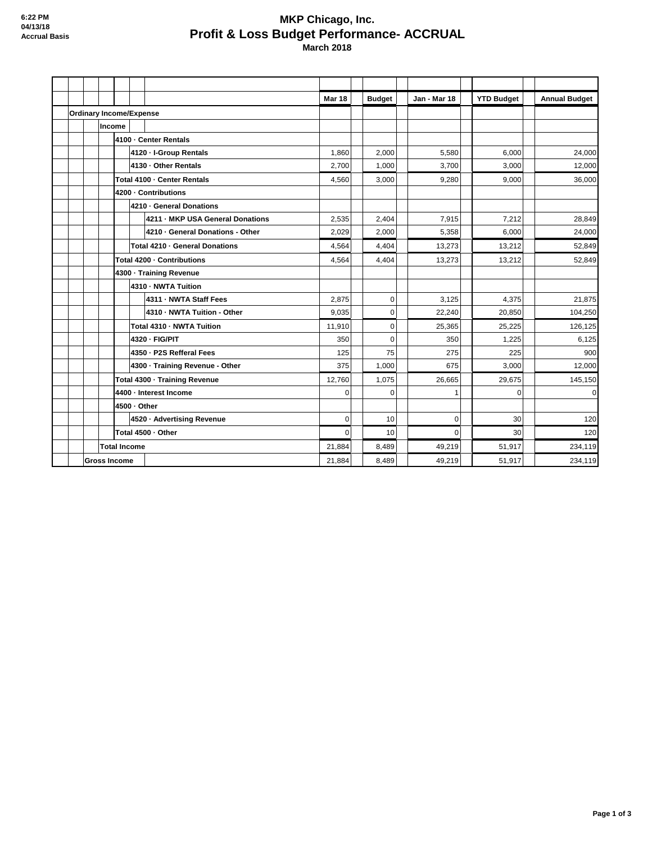## **MKP Chicago, Inc. Profit & Loss Budget Performance- ACCRUAL March 2018**

|                     |                     |                                  | <b>Mar 18</b> | <b>Budget</b> | Jan - Mar 18 | <b>YTD Budget</b> | <b>Annual Budget</b> |
|---------------------|---------------------|----------------------------------|---------------|---------------|--------------|-------------------|----------------------|
|                     |                     | <b>Ordinary Income/Expense</b>   |               |               |              |                   |                      |
|                     | Income              |                                  |               |               |              |                   |                      |
|                     |                     | 4100 - Center Rentals            |               |               |              |                   |                      |
|                     |                     | 4120 - I-Group Rentals           | 1,860         | 2,000         | 5,580        | 6.000             | 24,000               |
|                     |                     | 4130 - Other Rentals             | 2,700         | 1,000         | 3,700        | 3,000             | 12,000               |
|                     |                     | Total 4100 - Center Rentals      | 4,560         | 3,000         | 9,280        | 9,000             | 36,000               |
|                     |                     | 4200 - Contributions             |               |               |              |                   |                      |
|                     |                     | 4210 · General Donations         |               |               |              |                   |                      |
|                     |                     | 4211 - MKP USA General Donations | 2,535         | 2,404         | 7,915        | 7,212             | 28,849               |
|                     |                     | 4210 - General Donations - Other | 2,029         | 2,000         | 5,358        | 6,000             | 24,000               |
|                     |                     | Total 4210 - General Donations   | 4,564         | 4,404         | 13,273       | 13,212            | 52,849               |
|                     |                     | Total 4200 - Contributions       | 4,564         | 4,404         | 13,273       | 13,212            | 52,849               |
|                     |                     | 4300 · Training Revenue          |               |               |              |                   |                      |
|                     |                     | 4310 - NWTA Tuition              |               |               |              |                   |                      |
|                     |                     | 4311 - NWTA Staff Fees           | 2.875         | $\mathbf{0}$  | 3.125        | 4.375             | 21,875               |
|                     |                     | 4310 - NWTA Tuition - Other      | 9,035         | 0             | 22,240       | 20,850            | 104,250              |
|                     |                     | Total 4310 - NWTA Tuition        | 11,910        | $\pmb{0}$     | 25,365       | 25,225            | 126,125              |
|                     |                     | 4320 - FIG/PIT                   | 350           | $\mathbf 0$   | 350          | 1,225             | 6,125                |
|                     |                     | 4350 - P2S Refferal Fees         | 125           | 75            | 275          | 225               | 900                  |
|                     |                     | 4300 - Training Revenue - Other  | 375           | 1,000         | 675          | 3,000             | 12,000               |
|                     |                     | Total 4300 - Training Revenue    | 12,760        | 1,075         | 26,665       | 29,675            | 145,150              |
|                     |                     | 4400 - Interest Income           | $\Omega$      | $\Omega$      | 1            | $\Omega$          | $\mathbf 0$          |
|                     |                     | 4500 - Other                     |               |               |              |                   |                      |
|                     |                     | 4520 · Advertising Revenue       | $\mathbf 0$   | 10            | $\mathbf 0$  | 30                | 120                  |
|                     |                     | Total 4500 · Other               | $\mathbf 0$   | 10            | $\Omega$     | 30                | 120                  |
| <b>Total Income</b> |                     |                                  | 21,884        | 8,489         | 49,219       | 51,917            | 234,119              |
|                     | <b>Gross Income</b> |                                  | 21,884        | 8,489         | 49,219       | 51,917            | 234,119              |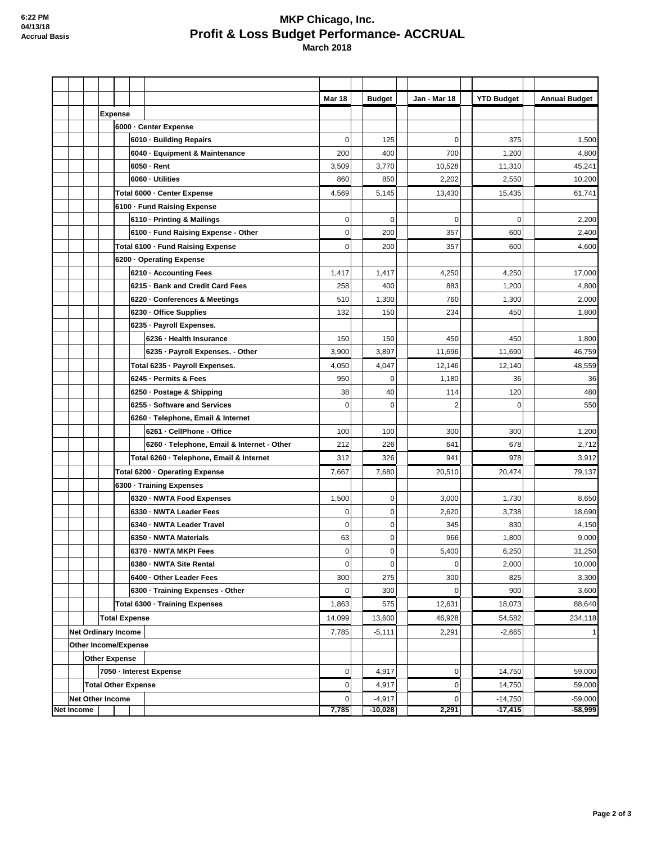## **MKP Chicago, Inc. Profit & Loss Budget Performance- ACCRUAL March 2018**

|                      |                            |                            |  |                         |                |                                            | <b>Mar 18</b>  | <b>Budget</b> | Jan - Mar 18   | <b>YTD Budget</b> | <b>Annual Budget</b> |
|----------------------|----------------------------|----------------------------|--|-------------------------|----------------|--------------------------------------------|----------------|---------------|----------------|-------------------|----------------------|
|                      |                            |                            |  | <b>Expense</b>          |                |                                            |                |               |                |                   |                      |
|                      |                            | 6000 - Center Expense      |  |                         |                |                                            |                |               |                |                   |                      |
|                      |                            |                            |  |                         |                | 6010 · Building Repairs                    | 0              | 125           | 0              | 375               | 1,500                |
|                      |                            |                            |  |                         |                | 6040 · Equipment & Maintenance             | 200            | 400           | 700            | 1,200             | 4,800                |
|                      |                            |                            |  |                         |                | 6050 - Rent                                | 3,509          | 3,770         | 10,528         | 11,310            | 45,241               |
|                      |                            |                            |  |                         |                | 6060 - Utilities                           | 860            | 850           | 2,202          | 2,550             | 10,200               |
|                      |                            |                            |  |                         |                | Total 6000 - Center Expense                | 4,569          | 5,145         | 13,430         | 15,435            | 61,741               |
|                      |                            |                            |  |                         |                | 6100 · Fund Raising Expense                |                |               |                |                   |                      |
|                      |                            |                            |  |                         |                | 6110 - Printing & Mailings                 | $\overline{0}$ | $\mathbf 0$   | $\mathbf 0$    | $\mathbf 0$       | 2,200                |
|                      |                            |                            |  |                         |                | 6100 - Fund Raising Expense - Other        | $\mathbf 0$    | 200           | 357            | 600               | 2,400                |
|                      |                            |                            |  |                         |                | Total 6100 - Fund Raising Expense          | $\mathbf 0$    | 200           | 357            | 600               | 4,600                |
|                      |                            |                            |  |                         |                | 6200 - Operating Expense                   |                |               |                |                   |                      |
|                      |                            |                            |  |                         |                | 6210 · Accounting Fees                     | 1,417          | 1,417         | 4,250          | 4,250             | 17,000               |
|                      |                            |                            |  |                         |                | 6215 · Bank and Credit Card Fees           | 258            | 400           | 883            | 1,200             | 4,800                |
|                      |                            |                            |  |                         |                | 6220 - Conferences & Meetings              | 510            | 1,300         | 760            | 1,300             | 2,000                |
|                      |                            |                            |  |                         |                | 6230 · Office Supplies                     | 132            | 150           | 234            | 450               | 1,800                |
|                      |                            |                            |  |                         |                | 6235 - Payroll Expenses.                   |                |               |                |                   |                      |
|                      |                            |                            |  |                         |                | 6236 - Health Insurance                    | 150            | 150           | 450            | 450               | 1,800                |
|                      |                            |                            |  |                         |                | 6235 - Payroll Expenses. - Other           | 3,900          | 3,897         | 11,696         | 11,690            | 46,759               |
|                      |                            |                            |  |                         |                | Total 6235 - Payroll Expenses.             | 4,050          | 4,047         | 12,146         | 12,140            | 48,559               |
|                      |                            |                            |  |                         |                | 6245 - Permits & Fees                      | 950            | $\mathbf 0$   | 1,180          | 36                | 36                   |
|                      |                            |                            |  |                         |                | 6250 · Postage & Shipping                  | 38             | 40            | 114            | 120               | 480                  |
|                      |                            |                            |  |                         |                | 6255 - Software and Services               | 0              | $\mathbf 0$   | $\overline{2}$ | 0                 | 550                  |
|                      |                            |                            |  |                         |                | 6260 · Telephone, Email & Internet         |                |               |                |                   |                      |
|                      |                            |                            |  |                         |                | 6261 - CellPhone - Office                  | 100            | 100           | 300            | 300               | 1,200                |
|                      |                            |                            |  |                         |                | 6260 - Telephone, Email & Internet - Other | 212            | 226           | 641            | 678               | 2,712                |
|                      |                            |                            |  |                         |                | Total 6260 - Telephone, Email & Internet   | 312            | 326           | 941            | 978               | 3,912                |
|                      |                            |                            |  |                         |                | Total 6200 - Operating Expense             | 7,667          | 7,680         | 20,510         | 20,474            | 79,137               |
|                      |                            |                            |  |                         |                | 6300 - Training Expenses                   |                |               |                |                   |                      |
|                      |                            |                            |  |                         |                | 6320 · NWTA Food Expenses                  | 1,500          | $\pmb{0}$     | 3,000          | 1,730             | 8,650                |
|                      |                            |                            |  |                         |                | 6330 - NWTA Leader Fees                    | 0              | $\pmb{0}$     | 2,620          | 3,738             | 18,690               |
|                      |                            |                            |  |                         |                | 6340 - NWTA Leader Travel                  | $\mathbf 0$    | $\pmb{0}$     | 345            | 830               | 4,150                |
|                      |                            |                            |  |                         |                | 6350 - NWTA Materials                      | 63             | $\mathbf 0$   | 966            | 1,800             | 9,000                |
|                      |                            |                            |  |                         |                | 6370 · NWTA MKPI Fees                      | $\mathsf{O}$   | $\pmb{0}$     | 5,400          | 6,250             | 31,250               |
|                      |                            |                            |  |                         |                | 6380 - NWTA Site Rental                    | 0              | $\mathbf 0$   | 0              | 2,000             | 10,000               |
|                      |                            |                            |  |                         |                | 6400 - Other Leader Fees                   | 300            | 275           | 300            | 825               | 3,300                |
|                      |                            |                            |  |                         |                | 6300 - Training Expenses - Other           | 0              | 300           | 0              | 900               | 3,600                |
|                      |                            |                            |  |                         |                | Total 6300 - Training Expenses             | 1,863          | 575           | 12,631         | 18,073            | 88,640               |
|                      |                            | <b>Total Expense</b>       |  | 14,099                  | 13,600         | 46,928                                     | 54,582         | 234,118       |                |                   |                      |
|                      |                            | <b>Net Ordinary Income</b> |  |                         |                | 7,785                                      | $-5,111$       | 2,291         | $-2,665$       |                   |                      |
| Other Income/Expense |                            |                            |  |                         |                |                                            |                |               |                |                   |                      |
|                      | <b>Other Expense</b>       |                            |  |                         |                |                                            |                |               |                |                   |                      |
|                      |                            | 7050 - Interest Expense    |  |                         | $\overline{0}$ | 4,917                                      | 0              | 14,750        | 59,000         |                   |                      |
|                      | <b>Total Other Expense</b> |                            |  | $\overline{0}$          | 4,917          | 0                                          | 14,750         | 59,000        |                |                   |                      |
|                      |                            |                            |  | <b>Net Other Income</b> |                |                                            | 0              | $-4,917$      | 0              | $-14,750$         | $-59,000$            |
|                      | Net Income                 |                            |  |                         |                |                                            | 7,785          | $-10,028$     | 2,291          | $-17,415$         | $-58,999$            |